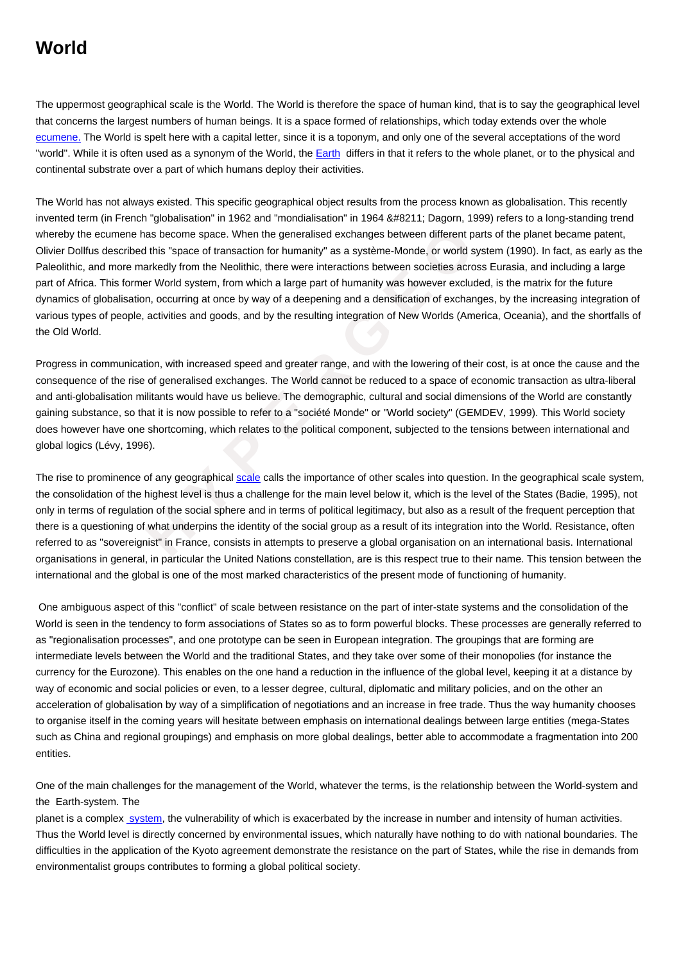The uppermost geographical scale is the World. The World is therefore the space of human kind, that is to say the geographical level that concerns the largest numbers of human beings. It is a space formed of relationships, which today extends over the whole ecumene. The World is spelt here with a capital letter, since it is a toponym, and only one of the several acceptations of the word "world". While it is often used as a synonym of the World, the **Earth differs in that it refers to the whole planet**, or to the physical and continental substrate over a part of which humans deploy their activities.

mene has become space. When the generalised exchanges between different parts<br>cribed this "space of transaction for humanity" as a système-Monde, or world syste<br>once markedly from the Neolithic, there were interactions bet [The World](https://wiki.parisgeo.cnrs.fr/?p=297) has not always existed. This specific geographical object results from the process known as globalisation. This recently invented term (in French "global[isation](https://wiki.parisgeo.cnrs.fr/?p=438)" in 1962 and "mondialisation" in 1964 – Dagorn, 1999) refers to a long-standing trend whereby the ecumene has become space. When the generalised exchanges between different parts of the planet became patent, Olivier Dollfus described this "space of transaction for humanity" as a système-Monde, or world system (1990). In fact, as early as the Paleolithic, and more markedly from the Neolithic, there were interactions between societies across Eurasia, and including a large part of Africa. This former World system, from which a large part of humanity was however excluded, is the matrix for the future dynamics of globalisation, occurring at once by way of a deepening and a densification of exchanges, by the increasing integration of various types of people, activities and goods, and by the resulting integration of New Worlds (America, Oceania), and the shortfalls of the Old World.

Progress in communication, with increased speed and greater range, and with the lowering of their cost, is at once the cause and the consequence of the rise of generalised exchanges. The World cannot be reduced to a space of economic transaction as ultra-liberal and anti-globalisation militants would have us believe. The demographic, cultural and social dimensions of the World are constantly gaining substance, so that it is now possible to refer to a "société Monde" or "World society" (GEMDEV, 1999). This World society does however have one shortcoming, which relates to the political component, subjected to the tensions between international and global logics (Lévy, 1996).

The rise to prominence of any geographical scale calls the importance of other scales into question. In the geographical scale system, the consolidation of the highest level is thus a challenge for the main level below it, which is the level of the States (Badie, 1995), not only in terms of regulation of the social sphere and in terms of political legitimacy, but also as a result of the frequent perception that there is a questioning of what underpins the identity of the social group as a result of its integration into the World. Resistance, often referred to as "sovereignist" in France, consists in attempts to preserve a global organisation on an international basis. International organisations in general, in particular the United Nations constellation, are is this respect true to their name. This tension between the international and the global is one of the most marked characteristics of the present mode of functioning of humanity.

 One ambiguous aspect of this "conflict" of scale between resistance on the part of inter-state systems and the consolidation of the World is seen in the tendency to form associations of States so as to form powerful blocks. These processes are generally referred to as "regionalisation processes", and one prototype can be seen in European integration. The groupings that are forming are intermediate levels between the World and the traditional States, and they take over some of their monopolies (for instance the currency for the Eurozone). This enables on the one hand a reduction in the influence of the global level, keeping it at a distance by way of economic and social policies or even, to a lesser degree, cultural, diplomatic and military policies, and on the other an acceleration of globalisation by way of a simplification of negotiations and an increase in free trade. Thus the way humanity chooses to organise itself in the coming years will hesitate between emphasis on international dealings between large entities (mega-States such as China and regional groupings) and emphasis on more global dealings, better able to accommodate a fragmentation into 200 entities.

One of the main challenges for the management of the World, whatever the terms, is the relationship between the World-system and the Earth-system. The

planet is a complex system, the vulnerability of which is exacerbated by the increase in number and intensity of human activities. Thus the World level is directly concerned by environmental issues, which naturally have nothing to do with national boundaries. The difficulties in the application of the Kyoto agreement demonstrate the resistance on the part of States, while the rise in demands from environmentalist gr[oups con](https://wiki.parisgeo.cnrs.fr/?p=182)tributes to forming a global political society.